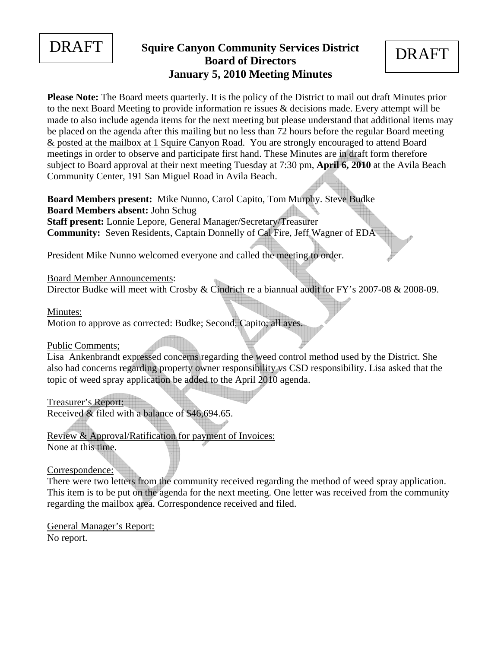

## **DRAFT** Squire Canyon Community Services District **DRAFT Board of Directors January 5, 2010 Meeting Minutes**

**Please Note:** The Board meets quarterly. It is the policy of the District to mail out draft Minutes prior to the next Board Meeting to provide information re issues & decisions made. Every attempt will be made to also include agenda items for the next meeting but please understand that additional items may be placed on the agenda after this mailing but no less than 72 hours before the regular Board meeting & posted at the mailbox at 1 Squire Canyon Road. You are strongly encouraged to attend Board meetings in order to observe and participate first hand. These Minutes are in draft form therefore subject to Board approval at their next meeting Tuesday at 7:30 pm, **April 6, 2010** at the Avila Beach Community Center, 191 San Miguel Road in Avila Beach.

**Board Members present:** Mike Nunno, Carol Capito, Tom Murphy. Steve Budke **Board Members absent:** John Schug **Staff present:** Lonnie Lepore, General Manager/Secretary/Treasurer **Community:** Seven Residents, Captain Donnelly of Cal Fire, Jeff Wagner of EDA

President Mike Nunno welcomed everyone and called the meeting to order.

Board Member Announcements:

Director Budke will meet with Crosby & Cindrich re a biannual audit for FY's 2007-08 & 2008-09.

Minutes:

Motion to approve as corrected: Budke; Second, Capito; all ayes.

Public Comments;

Lisa Ankenbrandt expressed concerns regarding the weed control method used by the District. She also had concerns regarding property owner responsibility vs CSD responsibility. Lisa asked that the topic of weed spray application be added to the April 2010 agenda.

Treasurer's Report:

Received & filed with a balance of \$46,694.65.

Review & Approval/Ratification for payment of Invoices: None at this time.

Correspondence:

There were two letters from the community received regarding the method of weed spray application. This item is to be put on the agenda for the next meeting. One letter was received from the community regarding the mailbox area. Correspondence received and filed.

General Manager's Report: No report.